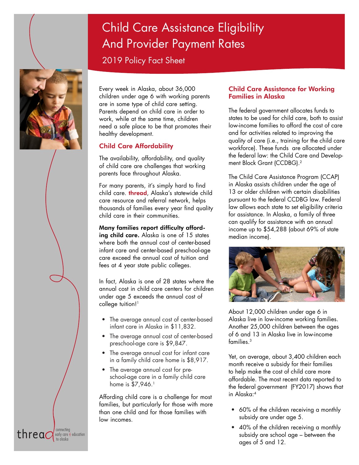# Child Care Assistance Eligibility And Provider Payment Rates

2019 Policy Fact Sheet

threa $\Omega$ 

early care  $\frac{1}{2}$  education

Every week in Alaska, about 36,000 children under age 6 with working parents are in some type of child care setting. Parents depend on child care in order to work, while at the same time, children need a safe place to be that promotes their healthy development.

# Child Care Affordability

The availability, affordability, and quality of child care are challenges that working parents face throughout Alaska.

For many parents, it's simply hard to find child care. **thread**, Alaska's statewide child care resource and referral network, helps thousands of families every year find quality child care in their communities.

Many families report difficulty afford-

ing child care. Alaska is one of 15 states where both the annual cost of center-based infant care and center-based preschool-age care exceed the annual cost of tuition and fees at 4 year state public colleges.

In fact, Alaska is one of 28 states where the annual cost in child care centers for children under age 5 exceeds the annual cost of college tuition!<sup>1</sup>

- The average annual cost of center-based infant care in Alaska in \$11,832.
- The average annual cost of center-based preschool-age care is \$9,847.
- The average annual cost for infant care in a family child care home is \$8,917.
- The average annual cost for preschool-age care in a family child care home is  $$7,946$ .<sup>1</sup>

Affording child care is a challenge for most families, but particularly for those with more than one child and for those families with low incomes.

# Child Care Assistance for Working Families in Alaska

The federal government allocates funds to states to be used for child care, both to assist low-income families to afford the cost of care and for activities related to improving the quality of care (i.e., training for the child care workforce). These funds are allocated under the federal law: the Child Care and Development Block Grant (CCDBG).2

The Child Care Assistance Program (CCAP) in Alaska assists children under the age of 13 or older children with certain disabilities pursuant to the federal CCDBG law. Federal law allows each state to set eligibility criteria for assistance. In Alaska, a family of three can qualify for assistance with an annual income up to \$54,288 (about 69% of state median income).



About 12,000 children under age 6 in Alaska live in low-income working families. Another 25,000 children between the ages of 6 and 13 in Alaska live in low-income families.3

Yet, on average, about 3,400 children each month receive a subsidy for their families to help make the cost of child care more affordable. The most recent data reported to the federal government (FY2017) shows that in Alaska:4

- 60% of the children receiving a monthly subsidy are under age 5.
- 40% of the children receiving a monthly subsidy are school age – between the ages of 5 and 12.